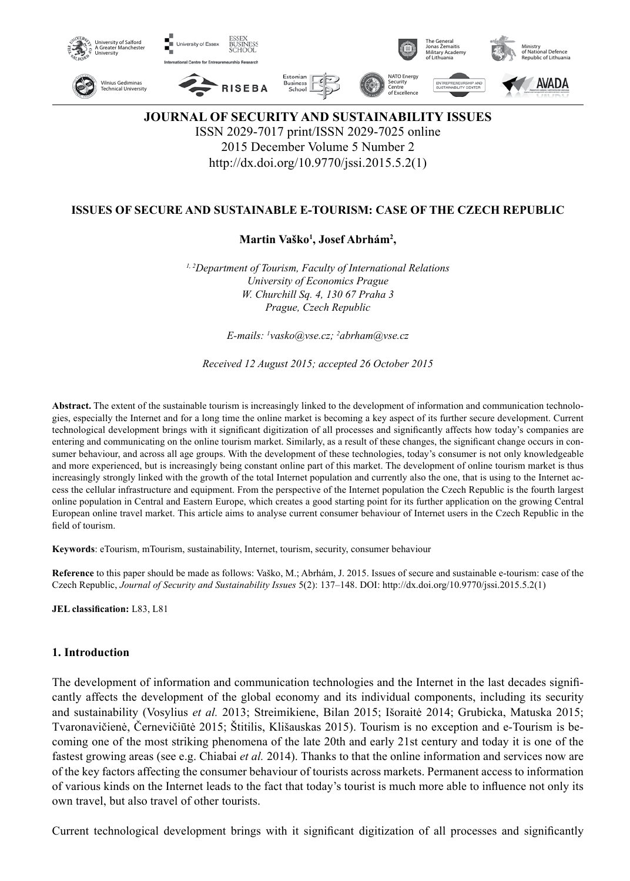

# **JOURNAL OF SECURITY AND SUSTAINABILITY ISSUES** ISSN 2029-7017 print/ISSN 2029-7025 online 2015 December Volume 5 Number 2 http://dx.doi.org/10.9770/jssi.2015.5.2(1)

## **ISSUES OF SECURE AND SUSTAINABLE E-TOURISM: CASE OF THE CZECH REPUBLIC**

**Martin Vaško1 , Josef Abrhám2 ,** 

*1, 2Department of Tourism, Faculty of International Relations University of Economics Prague W. Churchill Sq. 4, 130 67 Praha 3 Prague, Czech Republic*

*E-mails: 1 vasko@vse.cz; 2 abrham@vse.cz*

*Received 12 August 2015; accepted 26 October 2015*

**Abstract.** The extent of the sustainable tourism is increasingly linked to the development of information and communication technologies, especially the Internet and for a long time the online market is becoming a key aspect of its further secure development. Current technological development brings with it significant digitization of all processes and significantly affects how today's companies are entering and communicating on the online tourism market. Similarly, as a result of these changes, the significant change occurs in consumer behaviour, and across all age groups. With the development of these technologies, today's consumer is not only knowledgeable and more experienced, but is increasingly being constant online part of this market. The development of online tourism market is thus increasingly strongly linked with the growth of the total Internet population and currently also the one, that is using to the Internet access the cellular infrastructure and equipment. From the perspective of the Internet population the Czech Republic is the fourth largest online population in Central and Eastern Europe, which creates a good starting point for its further application on the growing Central European online travel market. This article aims to analyse current consumer behaviour of Internet users in the Czech Republic in the field of tourism.

**Keywords**: eTourism, mTourism, sustainability, Internet, tourism, security, consumer behaviour

**Reference** to this paper should be made as follows: Vaško, M.; Abrhám, J. 2015. Issues of secure and sustainable e-tourism: case of the Czech Republic, *Journal of Security and Sustainability Issues* 5(2): 137–148. DOI: http://dx.doi.org/10.9770/jssi.2015.5.2(1)

**JEL classification:** L83, L81

## **1. Introduction**

The development of information and communication technologies and the Internet in the last decades significantly affects the development of the global economy and its individual components, including its security and sustainability (Vosylius *et al.* 2013; Streimikiene, Bilan 2015; Išoraitė 2014; Grubicka, Matuska 2015; Tvaronavičienė, Černevičiūtė 2015; Štitilis, Klišauskas 2015). Tourism is no exception and e-Tourism is becoming one of the most striking phenomena of the late 20th and early 21st century and today it is one of the fastest growing areas (see e.g. Chiabai *et al.* 2014). Thanks to that the online information and services now are of the key factors affecting the consumer behaviour of tourists across markets. Permanent access to information of various kinds on the Internet leads to the fact that today's tourist is much more able to influence not only its own travel, but also travel of other tourists.

Current technological development brings with it significant digitization of all processes and significantly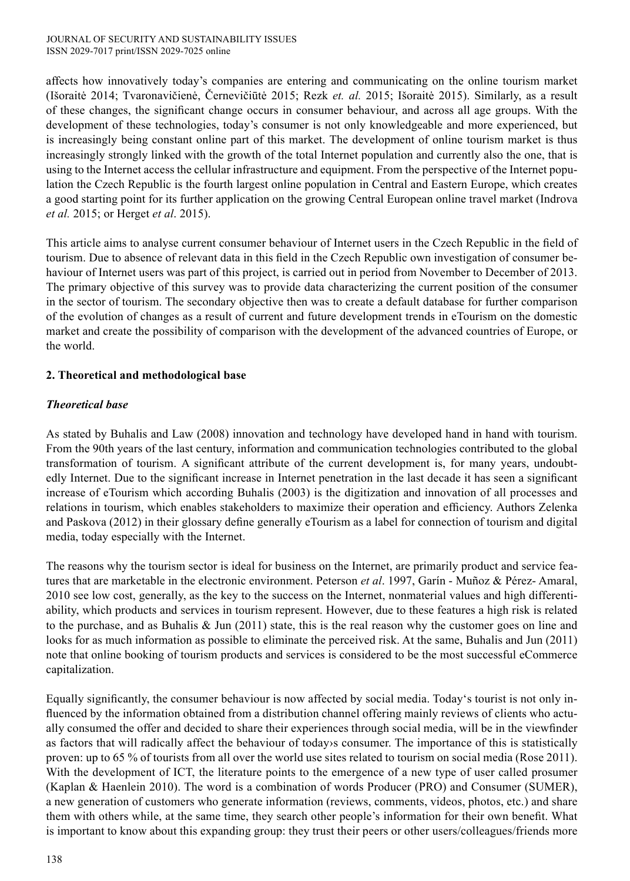affects how innovatively today's companies are entering and communicating on the online tourism market (Išoraitė 2014; Tvaronavičienė, Černevičiūtė 2015; Rezk *et. al.* 2015; Išoraitė 2015). Similarly, as a result of these changes, the significant change occurs in consumer behaviour, and across all age groups. With the development of these technologies, today's consumer is not only knowledgeable and more experienced, but is increasingly being constant online part of this market. The development of online tourism market is thus increasingly strongly linked with the growth of the total Internet population and currently also the one, that is using to the Internet access the cellular infrastructure and equipment. From the perspective of the Internet population the Czech Republic is the fourth largest online population in Central and Eastern Europe, which creates a good starting point for its further application on the growing Central European online travel market (Indrova *et al.* 2015; or Herget *et al*. 2015).

This article aims to analyse current consumer behaviour of Internet users in the Czech Republic in the field of tourism. Due to absence of relevant data in this field in the Czech Republic own investigation of consumer behaviour of Internet users was part of this project, is carried out in period from November to December of 2013. The primary objective of this survey was to provide data characterizing the current position of the consumer in the sector of tourism. The secondary objective then was to create a default database for further comparison of the evolution of changes as a result of current and future development trends in eTourism on the domestic market and create the possibility of comparison with the development of the advanced countries of Europe, or the world.

## **2. Theoretical and methodological base**

# *Theoretical base*

As stated by Buhalis and Law (2008) innovation and technology have developed hand in hand with tourism. From the 90th years of the last century, information and communication technologies contributed to the global transformation of tourism. A significant attribute of the current development is, for many years, undoubtedly Internet. Due to the significant increase in Internet penetration in the last decade it has seen a significant increase of eTourism which according Buhalis (2003) is the digitization and innovation of all processes and relations in tourism, which enables stakeholders to maximize their operation and efficiency. Authors Zelenka and Paskova (2012) in their glossary define generally eTourism as a label for connection of tourism and digital media, today especially with the Internet.

The reasons why the tourism sector is ideal for business on the Internet, are primarily product and service features that are marketable in the electronic environment. Peterson *et al*. 1997, Garín - Muñoz & Pérez- Amaral, 2010 see low cost, generally, as the key to the success on the Internet, nonmaterial values and high differentiability, which products and services in tourism represent. However, due to these features a high risk is related to the purchase, and as Buhalis  $\&$  Jun (2011) state, this is the real reason why the customer goes on line and looks for as much information as possible to eliminate the perceived risk. At the same, Buhalis and Jun (2011) note that online booking of tourism products and services is considered to be the most successful eCommerce capitalization.

Equally significantly, the consumer behaviour is now affected by social media. Today's tourist is not only influenced by the information obtained from a distribution channel offering mainly reviews of clients who actually consumed the offer and decided to share their experiences through social media, will be in the viewfinder as factors that will radically affect the behaviour of today›s consumer. The importance of this is statistically proven: up to 65 % of tourists from all over the world use sites related to tourism on social media (Rose 2011). With the development of ICT, the literature points to the emergence of a new type of user called prosumer (Kaplan & Haenlein 2010). The word is a combination of words Producer (PRO) and Consumer (SUMER), a new generation of customers who generate information (reviews, comments, videos, photos, etc.) and share them with others while, at the same time, they search other people's information for their own benefit. What is important to know about this expanding group: they trust their peers or other users/colleagues/friends more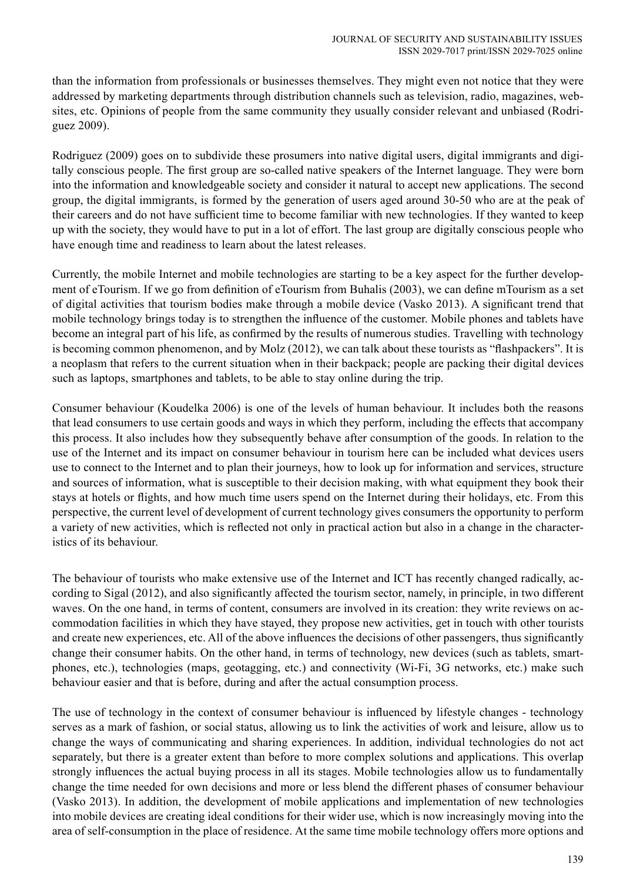than the information from professionals or businesses themselves. They might even not notice that they were addressed by marketing departments through distribution channels such as television, radio, magazines, websites, etc. Opinions of people from the same community they usually consider relevant and unbiased (Rodriguez 2009).

Rodriguez (2009) goes on to subdivide these prosumers into native digital users, digital immigrants and digitally conscious people. The first group are so-called native speakers of the Internet language. They were born into the information and knowledgeable society and consider it natural to accept new applications. The second group, the digital immigrants, is formed by the generation of users aged around 30-50 who are at the peak of their careers and do not have sufficient time to become familiar with new technologies. If they wanted to keep up with the society, they would have to put in a lot of effort. The last group are digitally conscious people who have enough time and readiness to learn about the latest releases.

Currently, the mobile Internet and mobile technologies are starting to be a key aspect for the further development of eTourism. If we go from definition of eTourism from Buhalis (2003), we can define mTourism as a set of digital activities that tourism bodies make through a mobile device (Vasko 2013). A significant trend that mobile technology brings today is to strengthen the influence of the customer. Mobile phones and tablets have become an integral part of his life, as confirmed by the results of numerous studies. Travelling with technology is becoming common phenomenon, and by Molz (2012), we can talk about these tourists as "flashpackers". It is a neoplasm that refers to the current situation when in their backpack; people are packing their digital devices such as laptops, smartphones and tablets, to be able to stay online during the trip.

Consumer behaviour (Koudelka 2006) is one of the levels of human behaviour. It includes both the reasons that lead consumers to use certain goods and ways in which they perform, including the effects that accompany this process. It also includes how they subsequently behave after consumption of the goods. In relation to the use of the Internet and its impact on consumer behaviour in tourism here can be included what devices users use to connect to the Internet and to plan their journeys, how to look up for information and services, structure and sources of information, what is susceptible to their decision making, with what equipment they book their stays at hotels or flights, and how much time users spend on the Internet during their holidays, etc. From this perspective, the current level of development of current technology gives consumers the opportunity to perform a variety of new activities, which is reflected not only in practical action but also in a change in the characteristics of its behaviour.

The behaviour of tourists who make extensive use of the Internet and ICT has recently changed radically, according to Sigal (2012), and also significantly affected the tourism sector, namely, in principle, in two different waves. On the one hand, in terms of content, consumers are involved in its creation: they write reviews on accommodation facilities in which they have stayed, they propose new activities, get in touch with other tourists and create new experiences, etc. All of the above influences the decisions of other passengers, thus significantly change their consumer habits. On the other hand, in terms of technology, new devices (such as tablets, smartphones, etc.), technologies (maps, geotagging, etc.) and connectivity (Wi-Fi, 3G networks, etc.) make such behaviour easier and that is before, during and after the actual consumption process.

The use of technology in the context of consumer behaviour is influenced by lifestyle changes - technology serves as a mark of fashion, or social status, allowing us to link the activities of work and leisure, allow us to change the ways of communicating and sharing experiences. In addition, individual technologies do not act separately, but there is a greater extent than before to more complex solutions and applications. This overlap strongly influences the actual buying process in all its stages. Mobile technologies allow us to fundamentally change the time needed for own decisions and more or less blend the different phases of consumer behaviour (Vasko 2013). In addition, the development of mobile applications and implementation of new technologies into mobile devices are creating ideal conditions for their wider use, which is now increasingly moving into the area of self-consumption in the place of residence. At the same time mobile technology offers more options and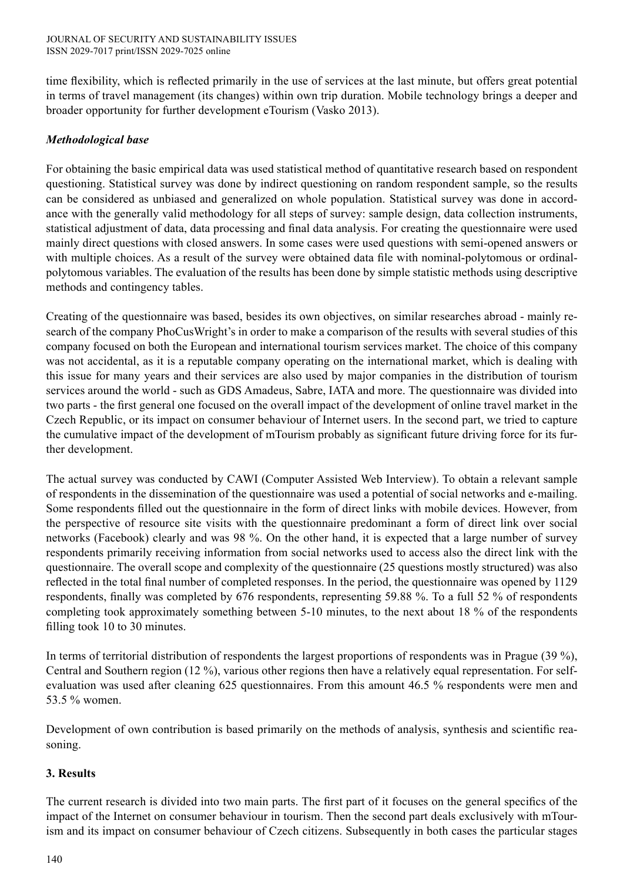time flexibility, which is reflected primarily in the use of services at the last minute, but offers great potential in terms of travel management (its changes) within own trip duration. Mobile technology brings a deeper and broader opportunity for further development eTourism (Vasko 2013).

## *Methodological base*

For obtaining the basic empirical data was used statistical method of quantitative research based on respondent questioning. Statistical survey was done by indirect questioning on random respondent sample, so the results can be considered as unbiased and generalized on whole population. Statistical survey was done in accordance with the generally valid methodology for all steps of survey: sample design, data collection instruments, statistical adjustment of data, data processing and final data analysis. For creating the questionnaire were used mainly direct questions with closed answers. In some cases were used questions with semi-opened answers or with multiple choices. As a result of the survey were obtained data file with nominal-polytomous or ordinalpolytomous variables. The evaluation of the results has been done by simple statistic methods using descriptive methods and contingency tables.

Creating of the questionnaire was based, besides its own objectives, on similar researches abroad - mainly research of the company PhoCusWright's in order to make a comparison of the results with several studies of this company focused on both the European and international tourism services market. The choice of this company was not accidental, as it is a reputable company operating on the international market, which is dealing with this issue for many years and their services are also used by major companies in the distribution of tourism services around the world - such as GDS Amadeus, Sabre, IATA and more. The questionnaire was divided into two parts - the first general one focused on the overall impact of the development of online travel market in the Czech Republic, or its impact on consumer behaviour of Internet users. In the second part, we tried to capture the cumulative impact of the development of mTourism probably as significant future driving force for its further development.

The actual survey was conducted by CAWI (Computer Assisted Web Interview). To obtain a relevant sample of respondents in the dissemination of the questionnaire was used a potential of social networks and e-mailing. Some respondents filled out the questionnaire in the form of direct links with mobile devices. However, from the perspective of resource site visits with the questionnaire predominant a form of direct link over social networks (Facebook) clearly and was 98 %. On the other hand, it is expected that a large number of survey respondents primarily receiving information from social networks used to access also the direct link with the questionnaire. The overall scope and complexity of the questionnaire (25 questions mostly structured) was also reflected in the total final number of completed responses. In the period, the questionnaire was opened by 1129 respondents, finally was completed by 676 respondents, representing 59.88 %. To a full 52 % of respondents completing took approximately something between 5-10 minutes, to the next about 18 % of the respondents filling took 10 to 30 minutes.

In terms of territorial distribution of respondents the largest proportions of respondents was in Prague (39 %), Central and Southern region (12 %), various other regions then have a relatively equal representation. For selfevaluation was used after cleaning 625 questionnaires. From this amount 46.5 % respondents were men and 53.5 % women.

Development of own contribution is based primarily on the methods of analysis, synthesis and scientific reasoning.

## **3. Results**

The current research is divided into two main parts. The first part of it focuses on the general specifics of the impact of the Internet on consumer behaviour in tourism. Then the second part deals exclusively with mTourism and its impact on consumer behaviour of Czech citizens. Subsequently in both cases the particular stages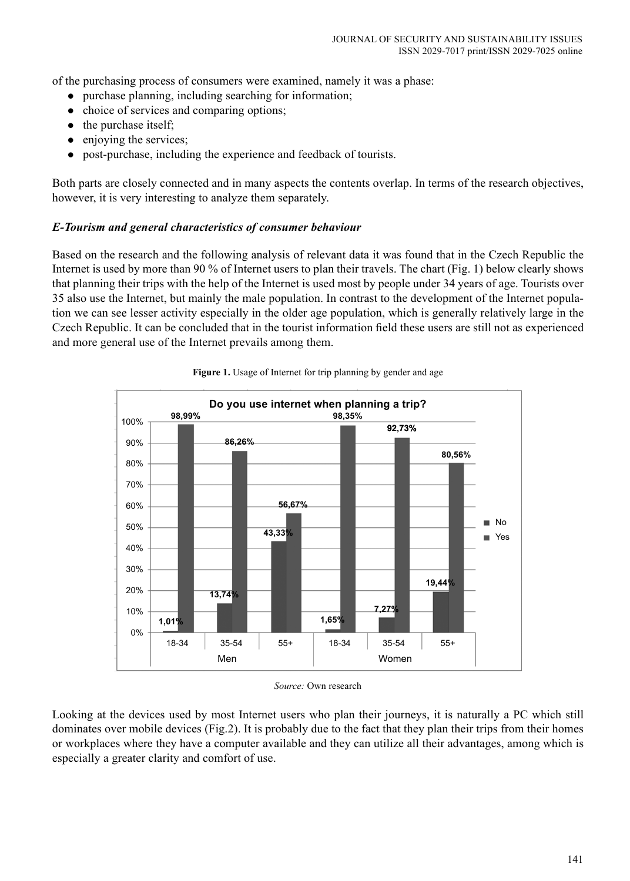of the purchasing process of consumers were examined, namely it was a phase:

- $\bullet$  purchase planning, including searching for information;
- choice of services and comparing options;
- $\bullet$  the purchase itself;
- $\bullet$  enjoying the services;
- post-purchase, including the experience and feedback of tourists.

Both parts are closely connected and in many aspects the contents overlap. In terms of the research objectives, however, it is very interesting to analyze them separately.

## *E-Tourism and general characteristics of consumer behaviour*

Based on the research and the following analysis of relevant data it was found that in the Czech Republic the Internet is used by more than 90 % of Internet users to plan their travels. The chart (Fig. 1) below clearly shows that planning their trips with the help of the Internet is used most by people under 34 years of age. Tourists over 35 also use the Internet, but mainly the male population. In contrast to the development of the Internet population we can see lesser activity especially in the older age population, which is generally relatively large in the Czech Republic. It can be concluded that in the tourist information field these users are still not as experienced and more general use of the Internet prevails among them.



Figure 1. Usage of Internet for trip planning by gender and age

Looking at the devices used by most Internet users who plan their journeys, it is naturally a PC which still dominates over mobile devices (Fig.2). It is probably due to the fact that they plan their trips from their homes or workplaces where they have a computer available and they can utilize all their advantages, among which is especially a greater clarity and comfort of use.

*Source:* Own research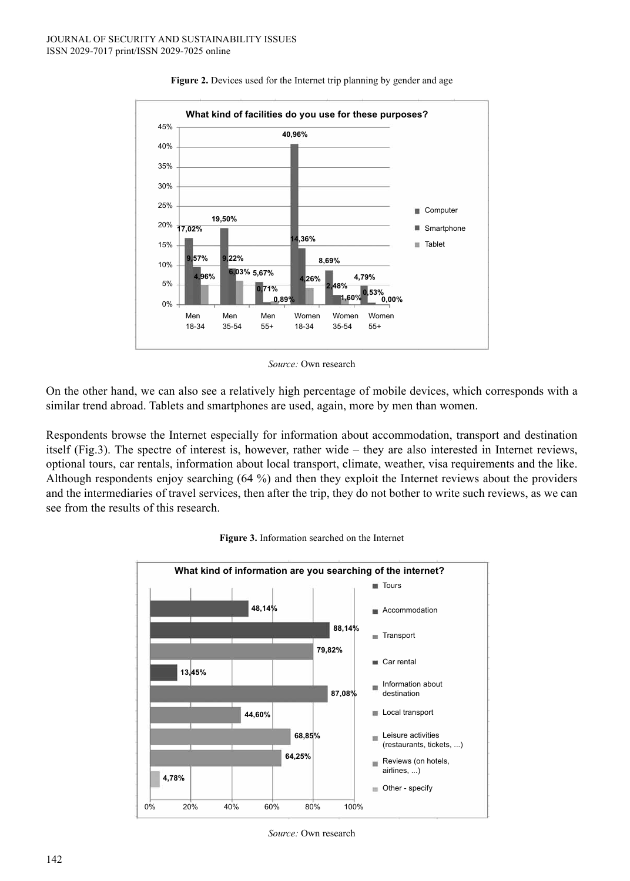

#### Figure 2. Devices used for the Internet trip planning by gender and age

*Source:* Own research

On the other hand, we can also see a relatively high percentage of mobile devices, which corresponds with a similar trend abroad. Tablets and smartphones are used, again, more by men than women.

Respondents browse the Internet especially for information about accommodation, transport and destination itself (Fig.3). The spectre of interest is, however, rather wide – they are also interested in Internet reviews, optional tours, car rentals, information about local transport, climate, weather, visa requirements and the like. Although respondents enjoy searching (64 %) and then they exploit the Internet reviews about the providers and the intermediaries of travel services, then after the trip, they do not bother to write such reviews, as we can see from the results of this research.



#### **Figure 3.** Information searched on the Internet

*Source:* Own research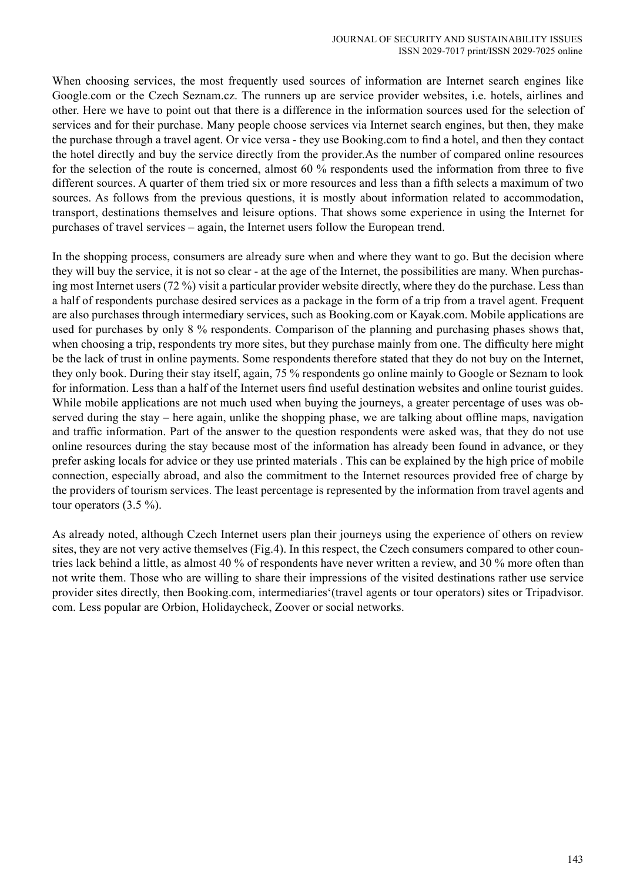When choosing services, the most frequently used sources of information are Internet search engines like Google.com or the Czech Seznam.cz. The runners up are service provider websites, i.e. hotels, airlines and other. Here we have to point out that there is a difference in the information sources used for the selection of services and for their purchase. Many people choose services via Internet search engines, but then, they make the purchase through a travel agent. Or vice versa - they use Booking.com to find a hotel, and then they contact the hotel directly and buy the service directly from the provider.As the number of compared online resources for the selection of the route is concerned, almost 60 % respondents used the information from three to five different sources. A quarter of them tried six or more resources and less than a fifth selects a maximum of two sources. As follows from the previous questions, it is mostly about information related to accommodation, transport, destinations themselves and leisure options. That shows some experience in using the Internet for purchases of travel services – again, the Internet users follow the European trend.

In the shopping process, consumers are already sure when and where they want to go. But the decision where they will buy the service, it is not so clear - at the age of the Internet, the possibilities are many. When purchasing most Internet users (72 %) visit a particular provider website directly, where they do the purchase. Less than a half of respondents purchase desired services as a package in the form of a trip from a travel agent. Frequent are also purchases through intermediary services, such as Booking.com or Kayak.com. Mobile applications are used for purchases by only 8 % respondents. Comparison of the planning and purchasing phases shows that, when choosing a trip, respondents try more sites, but they purchase mainly from one. The difficulty here might be the lack of trust in online payments. Some respondents therefore stated that they do not buy on the Internet, they only book. During their stay itself, again, 75 % respondents go online mainly to Google or Seznam to look for information. Less than a half of the Internet users find useful destination websites and online tourist guides. While mobile applications are not much used when buying the journeys, a greater percentage of uses was observed during the stay – here again, unlike the shopping phase, we are talking about offline maps, navigation and traffic information. Part of the answer to the question respondents were asked was, that they do not use online resources during the stay because most of the information has already been found in advance, or they prefer asking locals for advice or they use printed materials . This can be explained by the high price of mobile connection, especially abroad, and also the commitment to the Internet resources provided free of charge by the providers of tourism services. The least percentage is represented by the information from travel agents and tour operators  $(3.5\%)$ .

As already noted, although Czech Internet users plan their journeys using the experience of others on review sites, they are not very active themselves (Fig.4). In this respect, the Czech consumers compared to other countries lack behind a little, as almost 40 % of respondents have never written a review, and 30 % more often than not write them. Those who are willing to share their impressions of the visited destinations rather use service provider sites directly, then Booking.com, intermediaries'(travel agents or tour operators) sites or Tripadvisor. com. Less popular are Orbion, Holidaycheck, Zoover or social networks.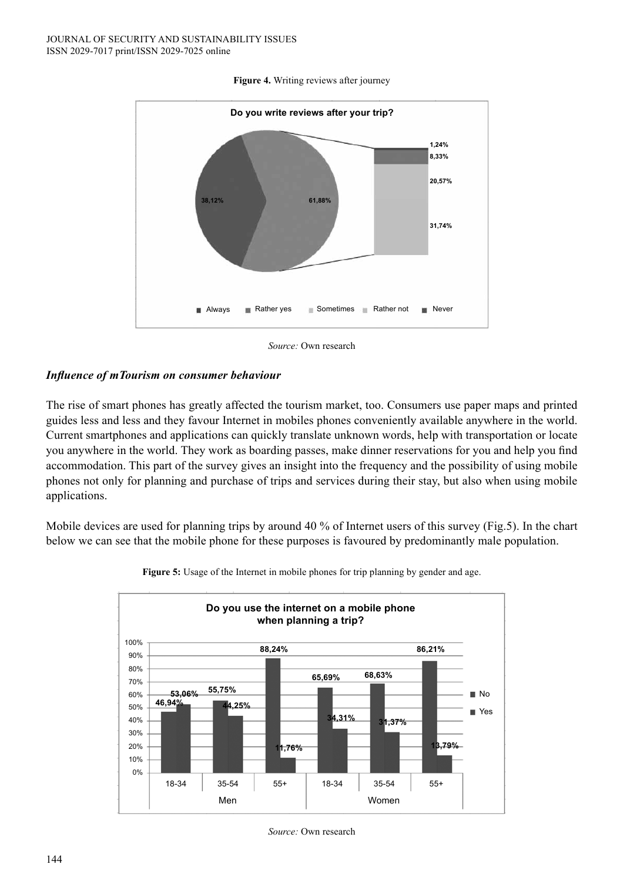

### **Figure 4.** Writing reviews after journey



## *Influence of mTourism on consumer behaviour*

The rise of smart phones has greatly affected the tourism market, too. Consumers use paper maps and printed guides less and less and they favour Internet in mobiles phones conveniently available anywhere in the world. Current smartphones and applications can quickly translate unknown words, help with transportation or locate you anywhere in the world. They work as boarding passes, make dinner reservations for you and help you find accommodation. This part of the survey gives an insight into the frequency and the possibility of using mobile phones not only for planning and purchase of trips and services during their stay, but also when using mobile applications.

Mobile devices are used for planning trips by around 40 % of Internet users of this survey (Fig.5). In the chart below we can see that the mobile phone for these purposes is favoured by predominantly male population.



Figure 5: Usage of the Internet in mobile phones for trip planning by gender and age.

*Source:* Own research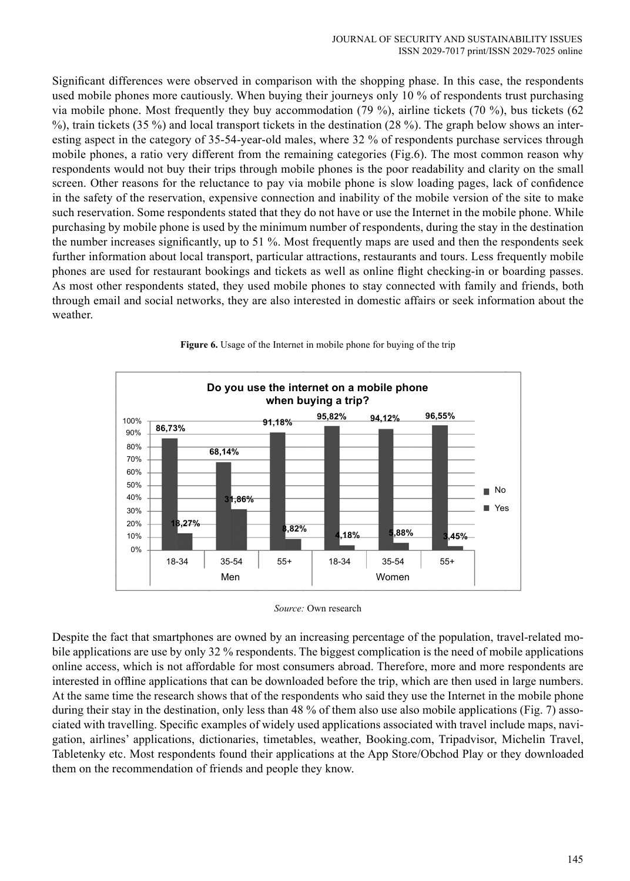Significant differences were observed in comparison with the shopping phase. In this case, the respondents used mobile phones more cautiously. When buying their journeys only 10 % of respondents trust purchasing via mobile phone. Most frequently they buy accommodation (79 %), airline tickets (70 %), bus tickets (62 %), train tickets (35 %) and local transport tickets in the destination (28 %). The graph below shows an interesting aspect in the category of 35-54-year-old males, where 32 % of respondents purchase services through mobile phones, a ratio very different from the remaining categories (Fig.6). The most common reason why respondents would not buy their trips through mobile phones is the poor readability and clarity on the small screen. Other reasons for the reluctance to pay via mobile phone is slow loading pages, lack of confidence in the safety of the reservation, expensive connection and inability of the mobile version of the site to make such reservation. Some respondents stated that they do not have or use the Internet in the mobile phone. While purchasing by mobile phone is used by the minimum number of respondents, during the stay in the destination the number increases significantly, up to 51 %. Most frequently maps are used and then the respondents seek further information about local transport, particular attractions, restaurants and tours. Less frequently mobile phones are used for restaurant bookings and tickets as well as online flight checking-in or boarding passes. As most other respondents stated, they used mobile phones to stay connected with family and friends, both through email and social networks, they are also interested in domestic affairs or seek information about the weather.







Despite the fact that smartphones are owned by an increasing percentage of the population, travel-related mobile applications are use by only 32 % respondents. The biggest complication is the need of mobile applications online access, which is not affordable for most consumers abroad. Therefore, more and more respondents are interested in offline applications that can be downloaded before the trip, which are then used in large numbers. At the same time the research shows that of the respondents who said they use the Internet in the mobile phone during their stay in the destination, only less than 48 % of them also use also mobile applications (Fig. 7) associated with travelling. Specific examples of widely used applications associated with travel include maps, navigation, airlines' applications, dictionaries, timetables, weather, Booking.com, Tripadvisor, Michelin Travel, Tabletenky etc. Most respondents found their applications at the App Store/Obchod Play or they downloaded them on the recommendation of friends and people they know.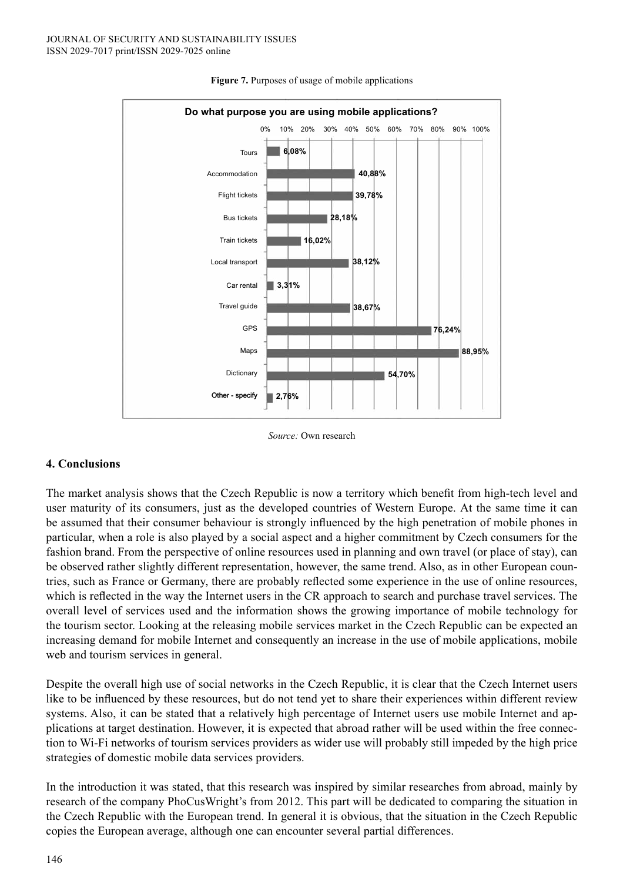

**Figure 7.** Purposes of usage of mobile applications

#### *Source:* Own research

### **4. Conclusions**

The market analysis shows that the Czech Republic is now a territory which benefit from high-tech level and user maturity of its consumers, just as the developed countries of Western Europe. At the same time it can be assumed that their consumer behaviour is strongly influenced by the high penetration of mobile phones in particular, when a role is also played by a social aspect and a higher commitment by Czech consumers for the fashion brand. From the perspective of online resources used in planning and own travel (or place of stay), can be observed rather slightly different representation, however, the same trend. Also, as in other European countries, such as France or Germany, there are probably reflected some experience in the use of online resources, which is reflected in the way the Internet users in the CR approach to search and purchase travel services. The overall level of services used and the information shows the growing importance of mobile technology for the tourism sector. Looking at the releasing mobile services market in the Czech Republic can be expected an increasing demand for mobile Internet and consequently an increase in the use of mobile applications, mobile web and tourism services in general.

Despite the overall high use of social networks in the Czech Republic, it is clear that the Czech Internet users like to be influenced by these resources, but do not tend yet to share their experiences within different review systems. Also, it can be stated that a relatively high percentage of Internet users use mobile Internet and applications at target destination. However, it is expected that abroad rather will be used within the free connection to Wi-Fi networks of tourism services providers as wider use will probably still impeded by the high price strategies of domestic mobile data services providers.

In the introduction it was stated, that this research was inspired by similar researches from abroad, mainly by research of the company PhoCusWright's from 2012. This part will be dedicated to comparing the situation in the Czech Republic with the European trend. In general it is obvious, that the situation in the Czech Republic copies the European average, although one can encounter several partial differences.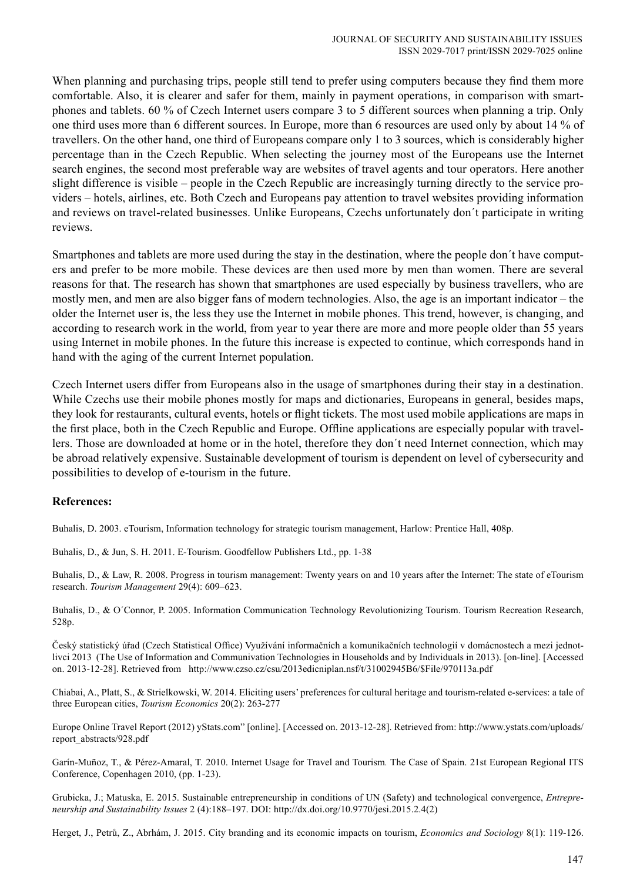When planning and purchasing trips, people still tend to prefer using computers because they find them more comfortable. Also, it is clearer and safer for them, mainly in payment operations, in comparison with smartphones and tablets. 60 % of Czech Internet users compare 3 to 5 different sources when planning a trip. Only one third uses more than 6 different sources. In Europe, more than 6 resources are used only by about 14 % of travellers. On the other hand, one third of Europeans compare only 1 to 3 sources, which is considerably higher percentage than in the Czech Republic. When selecting the journey most of the Europeans use the Internet search engines, the second most preferable way are websites of travel agents and tour operators. Here another slight difference is visible – people in the Czech Republic are increasingly turning directly to the service providers – hotels, airlines, etc. Both Czech and Europeans pay attention to travel websites providing information and reviews on travel-related businesses. Unlike Europeans, Czechs unfortunately don´t participate in writing reviews.

Smartphones and tablets are more used during the stay in the destination, where the people don´t have computers and prefer to be more mobile. These devices are then used more by men than women. There are several reasons for that. The research has shown that smartphones are used especially by business travellers, who are mostly men, and men are also bigger fans of modern technologies. Also, the age is an important indicator – the older the Internet user is, the less they use the Internet in mobile phones. This trend, however, is changing, and according to research work in the world, from year to year there are more and more people older than 55 years using Internet in mobile phones. In the future this increase is expected to continue, which corresponds hand in hand with the aging of the current Internet population.

Czech Internet users differ from Europeans also in the usage of smartphones during their stay in a destination. While Czechs use their mobile phones mostly for maps and dictionaries, Europeans in general, besides maps, they look for restaurants, cultural events, hotels or flight tickets. The most used mobile applications are maps in the first place, both in the Czech Republic and Europe. Offline applications are especially popular with travellers. Those are downloaded at home or in the hotel, therefore they don´t need Internet connection, which may be abroad relatively expensive. Sustainable development of tourism is dependent on level of cybersecurity and possibilities to develop of e-tourism in the future.

## **References:**

Buhalis, D. 2003. eTourism, Information technology for strategic tourism management, Harlow: Prentice Hall, 408p.

Buhalis, D., & Jun, S. H. 2011. E-Tourism. Goodfellow Publishers Ltd., pp. 1-38

Buhalis, D., & Law, R. 2008. Progress in tourism management: Twenty years on and 10 years after the Internet: The state of eTourism research. *Tourism Management* 29(4): 609–623.

Buhalis, D., & O´Connor, P. 2005. Information Communication Technology Revolutionizing Tourism. Tourism Recreation Research, 528p.

Český statistický úřad (Czech Statistical Office) Využívání informačních a komunikačních technologií v domácnostech a mezi jednotlivci 2013 (The Use of Information and Communivation Technologies in Households and by Individuals in 2013). [on-line]. [Accessed on. 2013-12-28]. Retrieved from http://www.czso.cz/csu/2013edicniplan.nsf/t/31002945B6/\$File/970113a.pdf

Chiabai, A., Platt, S., & Strielkowski, W. 2014. Eliciting users' preferences for cultural heritage and tourism-related e-services: a tale of three European cities, *Tourism Economics* 20(2): 263-277

Europe Online Travel Report (2012) yStats.com" [online]. [Accessed on. 2013-12-28]. Retrieved from: http://www.ystats.com/uploads/ report\_abstracts/928.pdf

Garín-Muñoz, T., & Pérez-Amaral, T. 2010. Internet Usage for Travel and Tourism*.* The Case of Spain. 21st European Regional ITS Conference, Copenhagen 2010, (pp. 1-23).

Grubicka, J.; Matuska, E. 2015. Sustainable entrepreneurship in conditions of UN (Safety) and technological convergence, *Entrepreneurship and Sustainability Issues* 2 (4):188–197. DOI: http://dx.doi.org/10.9770/jesi.2015.2.4(2)

Herget, J., Petrů, Z., Abrhám, J. 2015. City branding and its economic impacts on tourism, *Economics and Sociology* 8(1): 119-126.